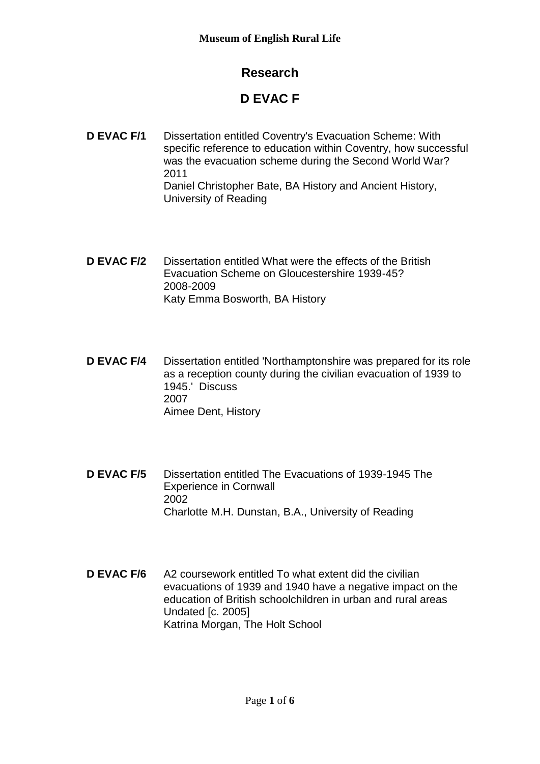## **Research**

## **D EVAC F**

- **D EVAC F/1** Dissertation entitled Coventry's Evacuation Scheme: With specific reference to education within Coventry, how successful was the evacuation scheme during the Second World War? 2011 Daniel Christopher Bate, BA History and Ancient History, University of Reading
- **D EVAC F/2** Dissertation entitled What were the effects of the British Evacuation Scheme on Gloucestershire 1939-45? 2008-2009 Katy Emma Bosworth, BA History
- **D EVAC F/4** Dissertation entitled 'Northamptonshire was prepared for its role as a reception county during the civilian evacuation of 1939 to 1945.' Discuss 2007 Aimee Dent, History
- **D EVAC F/5** Dissertation entitled The Evacuations of 1939-1945 The Experience in Cornwall 2002 Charlotte M.H. Dunstan, B.A., University of Reading
- **D EVAC F/6** A2 coursework entitled To what extent did the civilian evacuations of 1939 and 1940 have a negative impact on the education of British schoolchildren in urban and rural areas Undated [c. 2005] Katrina Morgan, The Holt School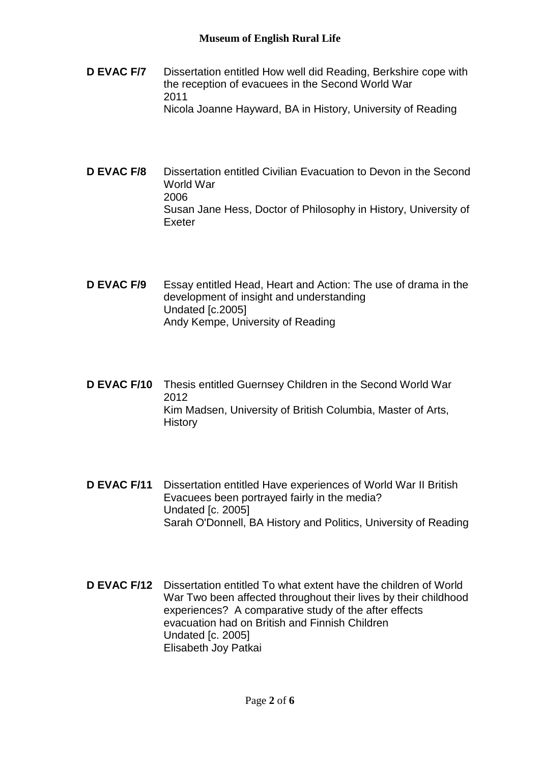- **D EVAC F/7** Dissertation entitled How well did Reading, Berkshire cope with the reception of evacuees in the Second World War 2011 Nicola Joanne Hayward, BA in History, University of Reading
- **D EVAC F/8** Dissertation entitled Civilian Evacuation to Devon in the Second World War 2006 Susan Jane Hess, Doctor of Philosophy in History, University of Exeter
- **D EVAC F/9** Essay entitled Head, Heart and Action: The use of drama in the development of insight and understanding Undated [c.2005] Andy Kempe, University of Reading
- **D EVAC F/10** Thesis entitled Guernsey Children in the Second World War 2012 Kim Madsen, University of British Columbia, Master of Arts, **History**
- **D EVAC F/11** Dissertation entitled Have experiences of World War II British Evacuees been portrayed fairly in the media? Undated [c. 2005] Sarah O'Donnell, BA History and Politics, University of Reading
- **D EVAC F/12** Dissertation entitled To what extent have the children of World War Two been affected throughout their lives by their childhood experiences? A comparative study of the after effects evacuation had on British and Finnish Children Undated [c. 2005] Elisabeth Joy Patkai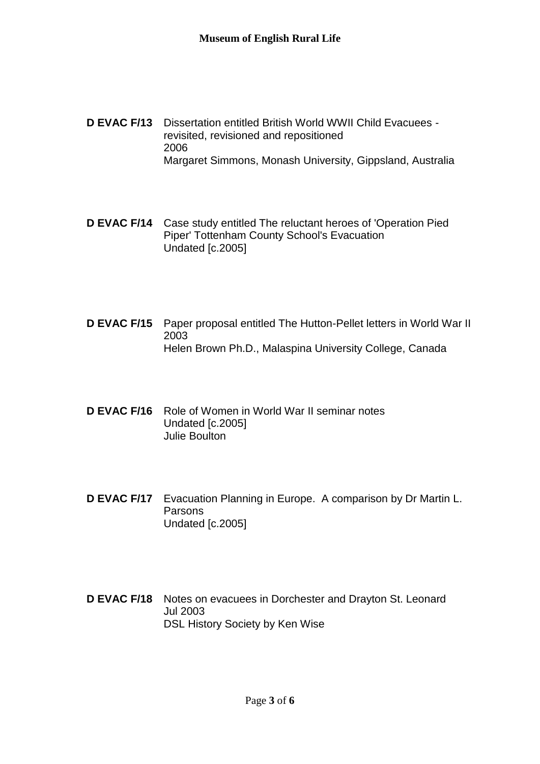- **D EVAC F/13** Dissertation entitled British World WWII Child Evacuees revisited, revisioned and repositioned 2006 Margaret Simmons, Monash University, Gippsland, Australia
- **D EVAC F/14** Case study entitled The reluctant heroes of 'Operation Pied Piper' Tottenham County School's Evacuation Undated [c.2005]
- **D EVAC F/15** Paper proposal entitled The Hutton-Pellet letters in World War II 2003 Helen Brown Ph.D., Malaspina University College, Canada
- **D EVAC F/16** Role of Women in World War II seminar notes Undated [c.2005] Julie Boulton
- **D EVAC F/17** Evacuation Planning in Europe. A comparison by Dr Martin L. **Parsons** Undated [c.2005]
- **D EVAC F/18** Notes on evacuees in Dorchester and Drayton St. Leonard Jul 2003 DSL History Society by Ken Wise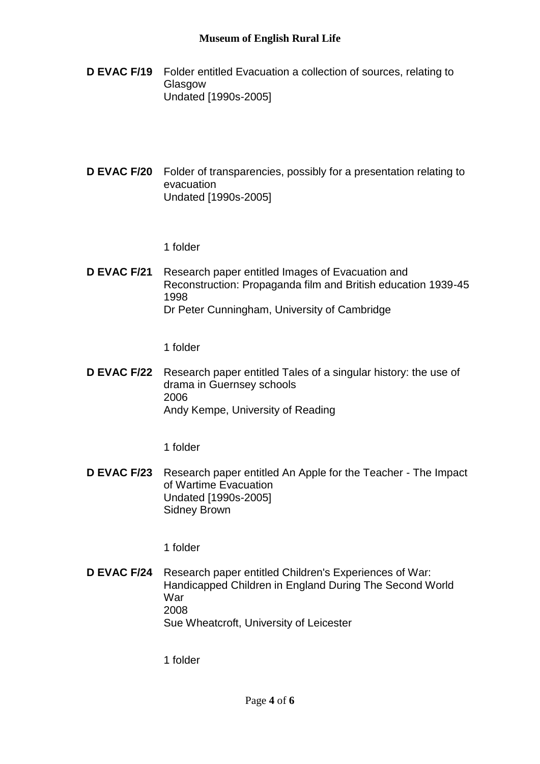## **Museum of English Rural Life**

- **D EVAC F/19** Folder entitled Evacuation a collection of sources, relating to Glasgow Undated [1990s-2005]
- **D EVAC F/20** Folder of transparencies, possibly for a presentation relating to evacuation Undated [1990s-2005]

1 folder

**D EVAC F/21** Research paper entitled Images of Evacuation and Reconstruction: Propaganda film and British education 1939-45 1998 Dr Peter Cunningham, University of Cambridge

1 folder

**D EVAC F/22** Research paper entitled Tales of a singular history: the use of drama in Guernsey schools 2006 Andy Kempe, University of Reading

1 folder

**D EVAC F/23** Research paper entitled An Apple for the Teacher - The Impact of Wartime Evacuation Undated [1990s-2005] Sidney Brown

1 folder

**D EVAC F/24** Research paper entitled Children's Experiences of War: Handicapped Children in England During The Second World War 2008 Sue Wheatcroft, University of Leicester

1 folder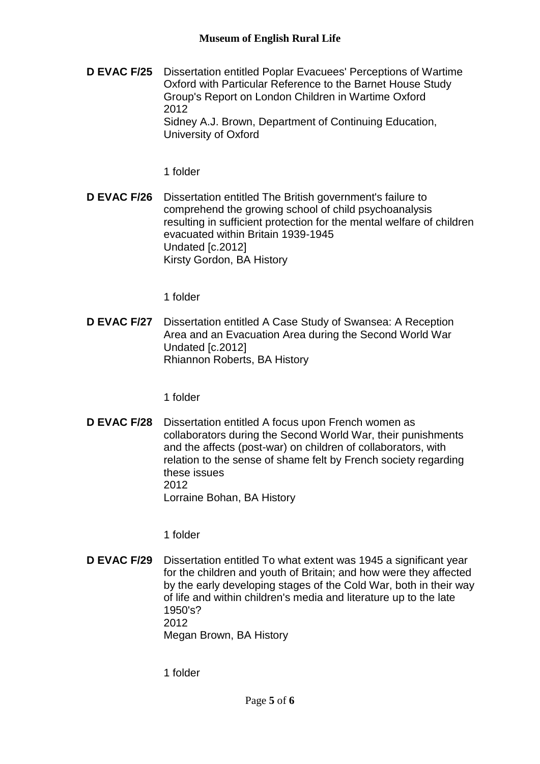**D EVAC F/25** Dissertation entitled Poplar Evacuees' Perceptions of Wartime Oxford with Particular Reference to the Barnet House Study Group's Report on London Children in Wartime Oxford 2012 Sidney A.J. Brown, Department of Continuing Education, University of Oxford

1 folder

**D EVAC F/26** Dissertation entitled The British government's failure to comprehend the growing school of child psychoanalysis resulting in sufficient protection for the mental welfare of children evacuated within Britain 1939-1945 Undated [c.2012] Kirsty Gordon, BA History

1 folder

**D EVAC F/27** Dissertation entitled A Case Study of Swansea: A Reception Area and an Evacuation Area during the Second World War Undated [c.2012] Rhiannon Roberts, BA History

1 folder

**D EVAC F/28** Dissertation entitled A focus upon French women as collaborators during the Second World War, their punishments and the affects (post-war) on children of collaborators, with relation to the sense of shame felt by French society regarding these issues 2012 Lorraine Bohan, BA History

1 folder

**D EVAC F/29** Dissertation entitled To what extent was 1945 a significant year for the children and youth of Britain; and how were they affected by the early developing stages of the Cold War, both in their way of life and within children's media and literature up to the late 1950's? 2012 Megan Brown, BA History

1 folder